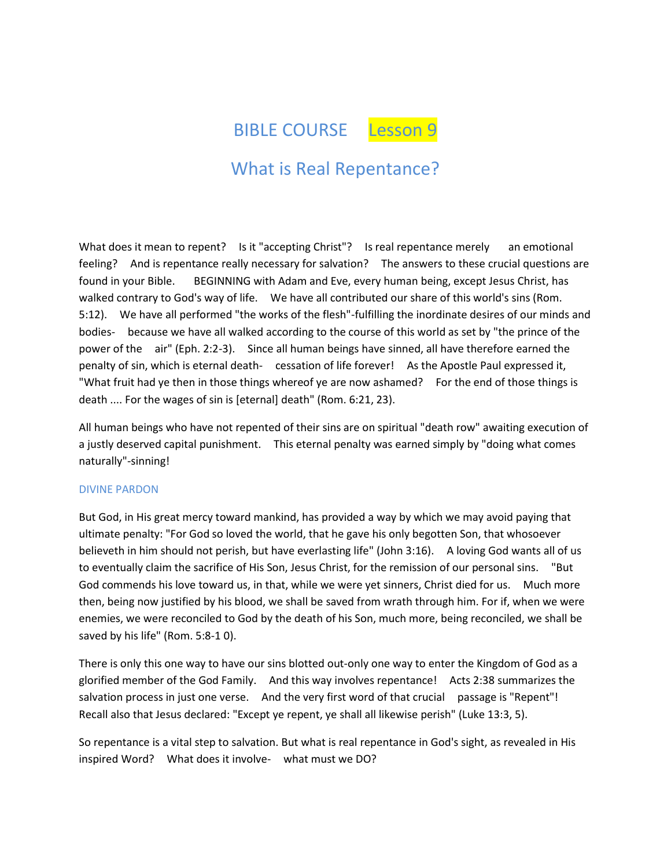BIBLE COURSE Lesson 9

# What is Real Repentance?

What does it mean to repent? Is it "accepting Christ"? Is real repentance merely an emotional feeling? And is repentance really necessary for salvation? The answers to these crucial questions are found in your Bible. BEGINNING with Adam and Eve, every human being, except Jesus Christ, has walked contrary to God's way of life. We have all contributed our share of this world's sins (Rom. 5:12). We have all performed "the works of the flesh"-fulfilling the inordinate desires of our minds and bodies- because we have all walked according to the course of this world as set by "the prince of the power of the air" (Eph. 2:2-3). Since all human beings have sinned, all have therefore earned the penalty of sin, which is eternal death- cessation of life forever! As the Apostle Paul expressed it, "What fruit had ye then in those things whereof ye are now ashamed? For the end of those things is death .... For the wages of sin is [eternal] death" (Rom. 6:21, 23).

All human beings who have not repented of their sins are on spiritual "death row" awaiting execution of a justly deserved capital punishment. This eternal penalty was earned simply by "doing what comes naturally"-sinning!

## DIVINE PARDON

But God, in His great mercy toward mankind, has provided a way by which we may avoid paying that ultimate penalty: "For God so loved the world, that he gave his only begotten Son, that whosoever believeth in him should not perish, but have everlasting life" (John 3:16). A loving God wants all of us to eventually claim the sacrifice of His Son, Jesus Christ, for the remission of our personal sins. "But God commends his love toward us, in that, while we were yet sinners, Christ died for us. Much more then, being now justified by his blood, we shall be saved from wrath through him. For if, when we were enemies, we were reconciled to God by the death of his Son, much more, being reconciled, we shall be saved by his life" (Rom. 5:8-1 0).

There is only this one way to have our sins blotted out-only one way to enter the Kingdom of God as a glorified member of the God Family. And this way involves repentance! Acts 2:38 summarizes the salvation process in just one verse. And the very first word of that crucial passage is "Repent"! Recall also that Jesus declared: "Except ye repent, ye shall all likewise perish" (Luke 13:3, 5).

So repentance is a vital step to salvation. But what is real repentance in God's sight, as revealed in His inspired Word? What does it involve- what must we DO?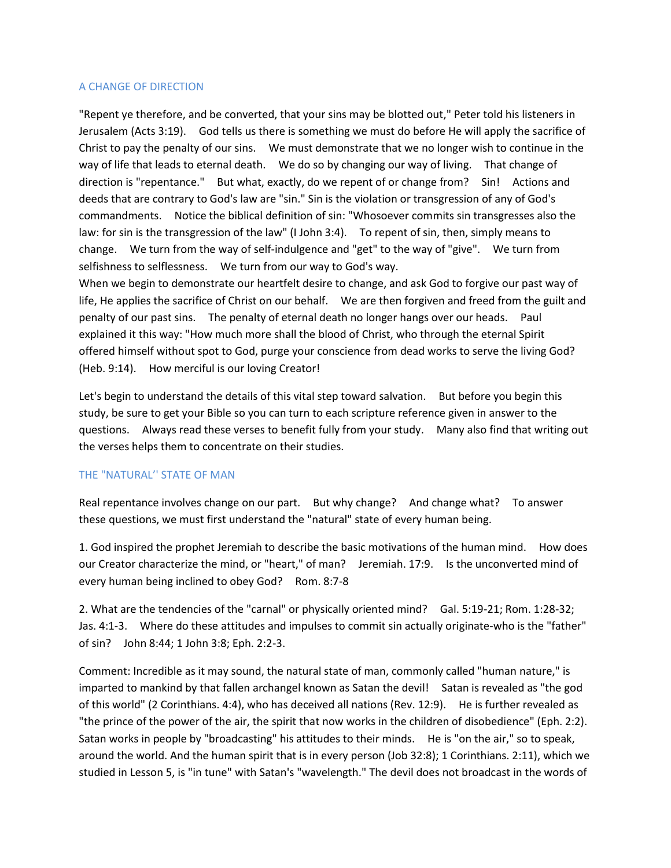## A CHANGE OF DIRECTION

"Repent ye therefore, and be converted, that your sins may be blotted out," Peter told his listeners in Jerusalem (Acts 3:19). God tells us there is something we must do before He will apply the sacrifice of Christ to pay the penalty of our sins. We must demonstrate that we no longer wish to continue in the way of life that leads to eternal death. We do so by changing our way of living. That change of direction is "repentance." But what, exactly, do we repent of or change from? Sin! Actions and deeds that are contrary to God's law are "sin." Sin is the violation or transgression of any of God's commandments. Notice the biblical definition of sin: "Whosoever commits sin transgresses also the law: for sin is the transgression of the law" (I John 3:4). To repent of sin, then, simply means to change. We turn from the way of self-indulgence and "get" to the way of "give". We turn from selfishness to selflessness. We turn from our way to God's way.

When we begin to demonstrate our heartfelt desire to change, and ask God to forgive our past way of life, He applies the sacrifice of Christ on our behalf. We are then forgiven and freed from the guilt and penalty of our past sins. The penalty of eternal death no longer hangs over our heads. Paul explained it this way: "How much more shall the blood of Christ, who through the eternal Spirit offered himself without spot to God, purge your conscience from dead works to serve the living God? (Heb. 9:14). How merciful is our loving Creator!

Let's begin to understand the details of this vital step toward salvation. But before you begin this study, be sure to get your Bible so you can turn to each scripture reference given in answer to the questions. Always read these verses to benefit fully from your study. Many also find that writing out the verses helps them to concentrate on their studies.

### THE "NATURAL'' STATE OF MAN

Real repentance involves change on our part. But why change? And change what? To answer these questions, we must first understand the "natural" state of every human being.

1. God inspired the prophet Jeremiah to describe the basic motivations of the human mind. How does our Creator characterize the mind, or "heart," of man? Jeremiah. 17:9. Is the unconverted mind of every human being inclined to obey God? Rom. 8:7-8

2. What are the tendencies of the "carnal" or physically oriented mind? Gal. 5:19-21; Rom. 1:28-32; Jas. 4:1-3. Where do these attitudes and impulses to commit sin actually originate-who is the "father" of sin? John 8:44; 1 John 3:8; Eph. 2:2-3.

Comment: Incredible as it may sound, the natural state of man, commonly called "human nature," is imparted to mankind by that fallen archangel known as Satan the devil! Satan is revealed as "the god of this world" (2 Corinthians. 4:4), who has deceived all nations (Rev. 12:9). He is further revealed as "the prince of the power of the air, the spirit that now works in the children of disobedience" (Eph. 2:2). Satan works in people by "broadcasting" his attitudes to their minds. He is "on the air," so to speak, around the world. And the human spirit that is in every person (Job 32:8); 1 Corinthians. 2:11), which we studied in Lesson 5, is "in tune" with Satan's "wavelength." The devil does not broadcast in the words of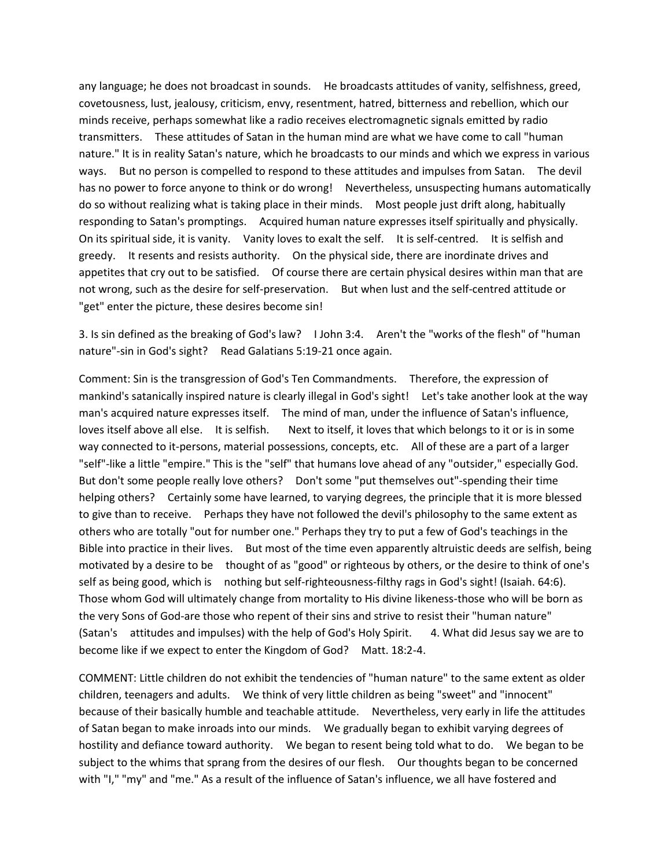any language; he does not broadcast in sounds. He broadcasts attitudes of vanity, selfishness, greed, covetousness, lust, jealousy, criticism, envy, resentment, hatred, bitterness and rebellion, which our minds receive, perhaps somewhat like a radio receives electromagnetic signals emitted by radio transmitters. These attitudes of Satan in the human mind are what we have come to call "human nature." It is in reality Satan's nature, which he broadcasts to our minds and which we express in various ways. But no person is compelled to respond to these attitudes and impulses from Satan. The devil has no power to force anyone to think or do wrong! Nevertheless, unsuspecting humans automatically do so without realizing what is taking place in their minds. Most people just drift along, habitually responding to Satan's promptings. Acquired human nature expresses itself spiritually and physically. On its spiritual side, it is vanity. Vanity loves to exalt the self. It is self-centred. It is selfish and greedy. It resents and resists authority. On the physical side, there are inordinate drives and appetites that cry out to be satisfied. Of course there are certain physical desires within man that are not wrong, such as the desire for self-preservation. But when lust and the self-centred attitude or "get" enter the picture, these desires become sin!

3. Is sin defined as the breaking of God's law? I John 3:4. Aren't the "works of the flesh" of "human nature"-sin in God's sight? Read Galatians 5:19-21 once again.

Comment: Sin is the transgression of God's Ten Commandments. Therefore, the expression of mankind's satanically inspired nature is clearly illegal in God's sight! Let's take another look at the way man's acquired nature expresses itself. The mind of man, under the influence of Satan's influence, loves itself above all else. It is selfish. Next to itself, it loves that which belongs to it or is in some way connected to it-persons, material possessions, concepts, etc. All of these are a part of a larger "self"-like a little "empire." This is the "self" that humans love ahead of any "outsider," especially God. But don't some people really love others? Don't some "put themselves out"-spending their time helping others? Certainly some have learned, to varying degrees, the principle that it is more blessed to give than to receive. Perhaps they have not followed the devil's philosophy to the same extent as others who are totally "out for number one." Perhaps they try to put a few of God's teachings in the Bible into practice in their lives. But most of the time even apparently altruistic deeds are selfish, being motivated by a desire to be thought of as "good" or righteous by others, or the desire to think of one's self as being good, which is nothing but self-righteousness-filthy rags in God's sight! (Isaiah. 64:6). Those whom God will ultimately change from mortality to His divine likeness-those who will be born as the very Sons of God-are those who repent of their sins and strive to resist their "human nature" (Satan's attitudes and impulses) with the help of God's Holy Spirit. 4. What did Jesus say we are to become like if we expect to enter the Kingdom of God? Matt. 18:2-4.

COMMENT: Little children do not exhibit the tendencies of "human nature" to the same extent as older children, teenagers and adults. We think of very little children as being "sweet" and "innocent" because of their basically humble and teachable attitude. Nevertheless, very early in life the attitudes of Satan began to make inroads into our minds. We gradually began to exhibit varying degrees of hostility and defiance toward authority. We began to resent being told what to do. We began to be subject to the whims that sprang from the desires of our flesh. Our thoughts began to be concerned with "I," "my" and "me." As a result of the influence of Satan's influence, we all have fostered and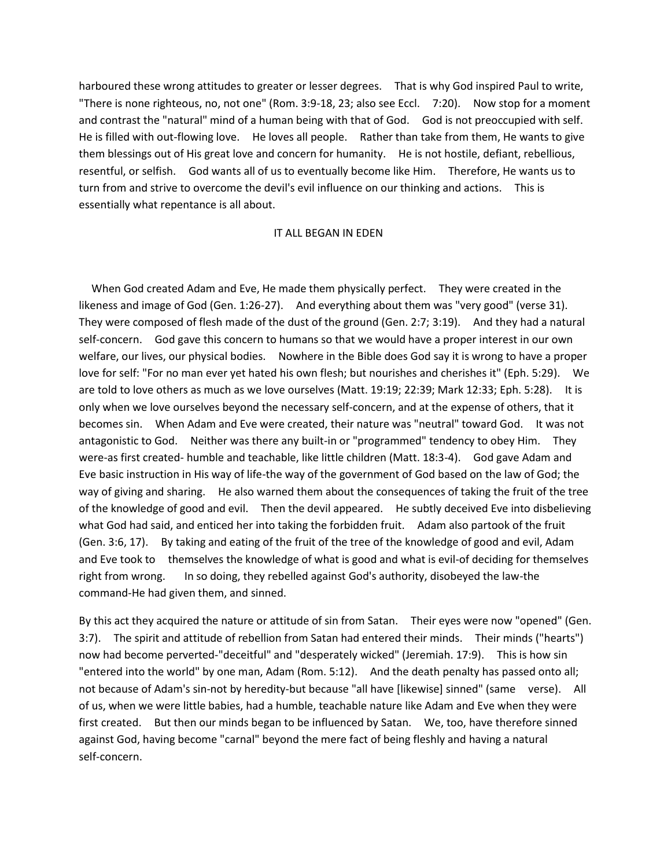harboured these wrong attitudes to greater or lesser degrees. That is why God inspired Paul to write, "There is none righteous, no, not one" (Rom. 3:9-18, 23; also see Eccl. 7:20). Now stop for a moment and contrast the "natural" mind of a human being with that of God. God is not preoccupied with self. He is filled with out-flowing love. He loves all people. Rather than take from them, He wants to give them blessings out of His great love and concern for humanity. He is not hostile, defiant, rebellious, resentful, or selfish. God wants all of us to eventually become like Him. Therefore, He wants us to turn from and strive to overcome the devil's evil influence on our thinking and actions. This is essentially what repentance is all about.

## IT ALL BEGAN IN EDEN

 When God created Adam and Eve, He made them physically perfect. They were created in the likeness and image of God (Gen. 1:26-27). And everything about them was "very good" (verse 31). They were composed of flesh made of the dust of the ground (Gen. 2:7; 3:19). And they had a natural self-concern. God gave this concern to humans so that we would have a proper interest in our own welfare, our lives, our physical bodies. Nowhere in the Bible does God say it is wrong to have a proper love for self: "For no man ever yet hated his own flesh; but nourishes and cherishes it" (Eph. 5:29). We are told to love others as much as we love ourselves (Matt. 19:19; 22:39; Mark 12:33; Eph. 5:28). It is only when we love ourselves beyond the necessary self-concern, and at the expense of others, that it becomes sin. When Adam and Eve were created, their nature was "neutral" toward God. It was not antagonistic to God. Neither was there any built-in or "programmed" tendency to obey Him. They were-as first created- humble and teachable, like little children (Matt. 18:3-4). God gave Adam and Eve basic instruction in His way of life-the way of the government of God based on the law of God; the way of giving and sharing. He also warned them about the consequences of taking the fruit of the tree of the knowledge of good and evil. Then the devil appeared. He subtly deceived Eve into disbelieving what God had said, and enticed her into taking the forbidden fruit. Adam also partook of the fruit (Gen. 3:6, 17). By taking and eating of the fruit of the tree of the knowledge of good and evil, Adam and Eve took to themselves the knowledge of what is good and what is evil-of deciding for themselves right from wrong. In so doing, they rebelled against God's authority, disobeyed the law-the command-He had given them, and sinned.

By this act they acquired the nature or attitude of sin from Satan. Their eyes were now "opened" (Gen. 3:7). The spirit and attitude of rebellion from Satan had entered their minds. Their minds ("hearts") now had become perverted-"deceitful" and "desperately wicked" (Jeremiah. 17:9). This is how sin "entered into the world" by one man, Adam (Rom. 5:12). And the death penalty has passed onto all; not because of Adam's sin-not by heredity-but because "all have [likewise] sinned" (same verse). All of us, when we were little babies, had a humble, teachable nature like Adam and Eve when they were first created. But then our minds began to be influenced by Satan. We, too, have therefore sinned against God, having become "carnal" beyond the mere fact of being fleshly and having a natural self-concern.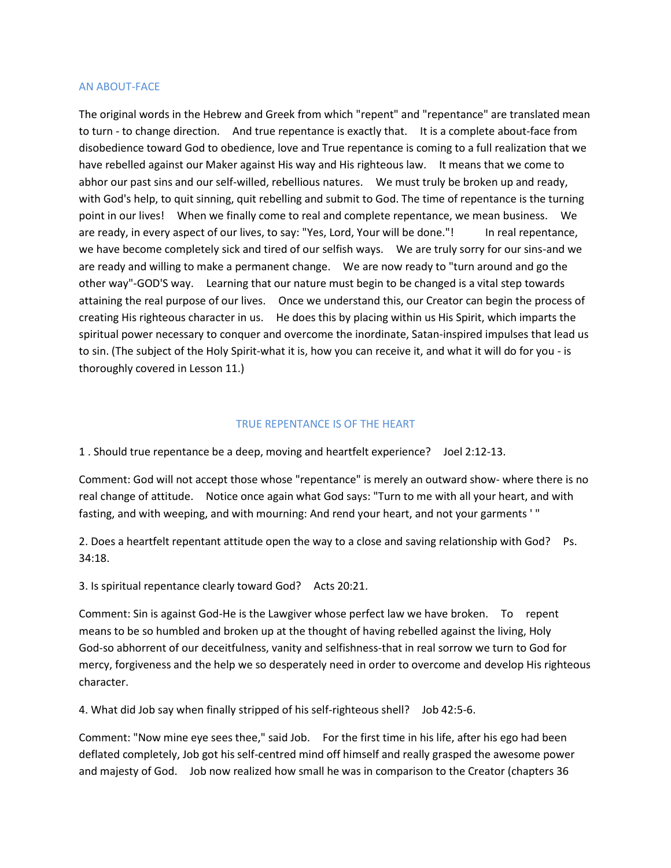## AN ABOUT-FACE

The original words in the Hebrew and Greek from which "repent" and "repentance" are translated mean to turn - to change direction. And true repentance is exactly that. It is a complete about-face from disobedience toward God to obedience, love and True repentance is coming to a full realization that we have rebelled against our Maker against His way and His righteous law. It means that we come to abhor our past sins and our self-willed, rebellious natures. We must truly be broken up and ready, with God's help, to quit sinning, quit rebelling and submit to God. The time of repentance is the turning point in our lives! When we finally come to real and complete repentance, we mean business. We are ready, in every aspect of our lives, to say: "Yes, Lord, Your will be done."! In real repentance, we have become completely sick and tired of our selfish ways. We are truly sorry for our sins-and we are ready and willing to make a permanent change. We are now ready to "turn around and go the other way"-GOD'S way. Learning that our nature must begin to be changed is a vital step towards attaining the real purpose of our lives. Once we understand this, our Creator can begin the process of creating His righteous character in us. He does this by placing within us His Spirit, which imparts the spiritual power necessary to conquer and overcome the inordinate, Satan-inspired impulses that lead us to sin. (The subject of the Holy Spirit-what it is, how you can receive it, and what it will do for you - is thoroughly covered in Lesson 11.)

## TRUE REPENTANCE IS OF THE HEART

1 . Should true repentance be a deep, moving and heartfelt experience? Joel 2:12-13.

Comment: God will not accept those whose "repentance" is merely an outward show- where there is no real change of attitude. Notice once again what God says: "Turn to me with all your heart, and with fasting, and with weeping, and with mourning: And rend your heart, and not your garments ' "

2. Does a heartfelt repentant attitude open the way to a close and saving relationship with God? Ps. 34:18.

3. Is spiritual repentance clearly toward God? Acts 20:21.

Comment: Sin is against God-He is the Lawgiver whose perfect law we have broken. To repent means to be so humbled and broken up at the thought of having rebelled against the living, Holy God-so abhorrent of our deceitfulness, vanity and selfishness-that in real sorrow we turn to God for mercy, forgiveness and the help we so desperately need in order to overcome and develop His righteous character.

4. What did Job say when finally stripped of his self-righteous shell? Job 42:5-6.

Comment: "Now mine eye sees thee," said Job. For the first time in his life, after his ego had been deflated completely, Job got his self-centred mind off himself and really grasped the awesome power and majesty of God. Job now realized how small he was in comparison to the Creator (chapters 36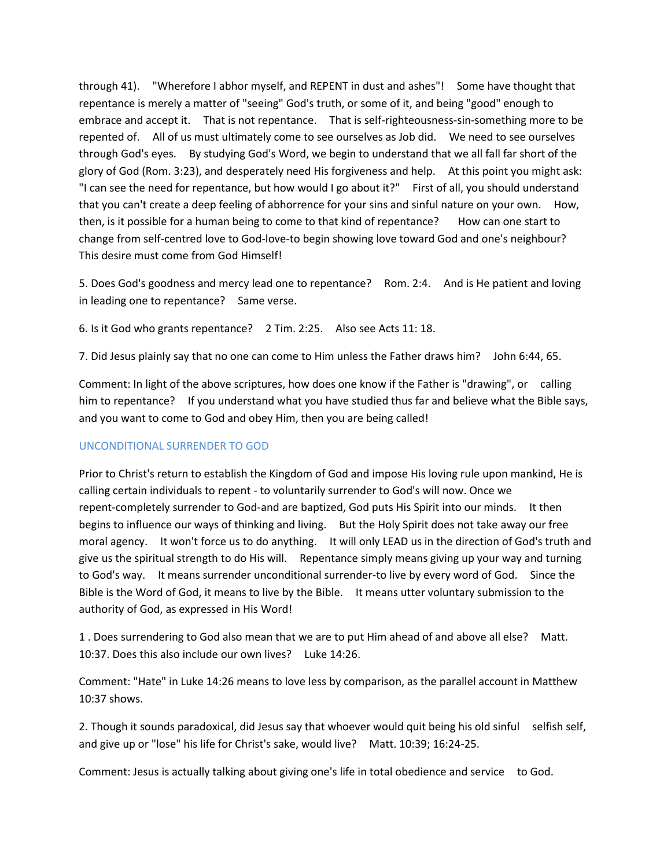through 41). "Wherefore I abhor myself, and REPENT in dust and ashes"! Some have thought that repentance is merely a matter of "seeing" God's truth, or some of it, and being "good" enough to embrace and accept it. That is not repentance. That is self-righteousness-sin-something more to be repented of. All of us must ultimately come to see ourselves as Job did. We need to see ourselves through God's eyes. By studying God's Word, we begin to understand that we all fall far short of the glory of God (Rom. 3:23), and desperately need His forgiveness and help. At this point you might ask: "I can see the need for repentance, but how would I go about it?" First of all, you should understand that you can't create a deep feeling of abhorrence for your sins and sinful nature on your own. How, then, is it possible for a human being to come to that kind of repentance? How can one start to change from self-centred love to God-love-to begin showing love toward God and one's neighbour? This desire must come from God Himself!

5. Does God's goodness and mercy lead one to repentance? Rom. 2:4. And is He patient and loving in leading one to repentance? Same verse.

6. Is it God who grants repentance? 2 Tim. 2:25. Also see Acts 11: 18.

7. Did Jesus plainly say that no one can come to Him unless the Father draws him? John 6:44, 65.

Comment: In light of the above scriptures, how does one know if the Father is "drawing", or calling him to repentance? If you understand what you have studied thus far and believe what the Bible says, and you want to come to God and obey Him, then you are being called!

# UNCONDITIONAL SURRENDER TO GOD

Prior to Christ's return to establish the Kingdom of God and impose His loving rule upon mankind, He is calling certain individuals to repent - to voluntarily surrender to God's will now. Once we repent-completely surrender to God-and are baptized, God puts His Spirit into our minds. It then begins to influence our ways of thinking and living. But the Holy Spirit does not take away our free moral agency. It won't force us to do anything. It will only LEAD us in the direction of God's truth and give us the spiritual strength to do His will. Repentance simply means giving up your way and turning to God's way. It means surrender unconditional surrender-to live by every word of God. Since the Bible is the Word of God, it means to live by the Bible. It means utter voluntary submission to the authority of God, as expressed in His Word!

1 . Does surrendering to God also mean that we are to put Him ahead of and above all else? Matt. 10:37. Does this also include our own lives? Luke 14:26.

Comment: "Hate" in Luke 14:26 means to love less by comparison, as the parallel account in Matthew 10:37 shows.

2. Though it sounds paradoxical, did Jesus say that whoever would quit being his old sinful selfish self, and give up or "lose" his life for Christ's sake, would live? Matt. 10:39; 16:24-25.

Comment: Jesus is actually talking about giving one's life in total obedience and service to God.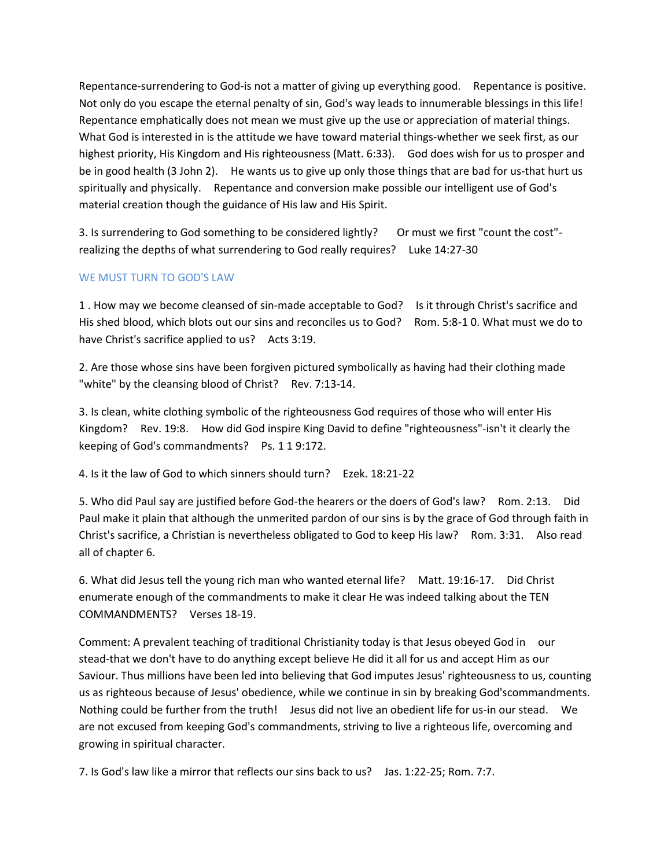Repentance-surrendering to God-is not a matter of giving up everything good. Repentance is positive. Not only do you escape the eternal penalty of sin, God's way leads to innumerable blessings in this life! Repentance emphatically does not mean we must give up the use or appreciation of material things. What God is interested in is the attitude we have toward material things-whether we seek first, as our highest priority, His Kingdom and His righteousness (Matt. 6:33). God does wish for us to prosper and be in good health (3 John 2). He wants us to give up only those things that are bad for us-that hurt us spiritually and physically. Repentance and conversion make possible our intelligent use of God's material creation though the guidance of His law and His Spirit.

3. Is surrendering to God something to be considered lightly? Or must we first "count the cost"realizing the depths of what surrendering to God really requires? Luke 14:27-30

# WE MUST TURN TO GOD'S LAW

1 . How may we become cleansed of sin-made acceptable to God? Is it through Christ's sacrifice and His shed blood, which blots out our sins and reconciles us to God? Rom. 5:8-1 0. What must we do to have Christ's sacrifice applied to us? Acts 3:19.

2. Are those whose sins have been forgiven pictured symbolically as having had their clothing made "white" by the cleansing blood of Christ? Rev. 7:13-14.

3. Is clean, white clothing symbolic of the righteousness God requires of those who will enter His Kingdom? Rev. 19:8. How did God inspire King David to define "righteousness"-isn't it clearly the keeping of God's commandments? Ps. 1 1 9:172.

4. Is it the law of God to which sinners should turn? Ezek. 18:21-22

5. Who did Paul say are justified before God-the hearers or the doers of God's law? Rom. 2:13. Did Paul make it plain that although the unmerited pardon of our sins is by the grace of God through faith in Christ's sacrifice, a Christian is nevertheless obligated to God to keep His law? Rom. 3:31. Also read all of chapter 6.

6. What did Jesus tell the young rich man who wanted eternal life? Matt. 19:16-17. Did Christ enumerate enough of the commandments to make it clear He was indeed talking about the TEN COMMANDMENTS? Verses 18-19.

Comment: A prevalent teaching of traditional Christianity today is that Jesus obeyed God in our stead-that we don't have to do anything except believe He did it all for us and accept Him as our Saviour. Thus millions have been led into believing that God imputes Jesus' righteousness to us, counting us as righteous because of Jesus' obedience, while we continue in sin by breaking God'scommandments. Nothing could be further from the truth! Jesus did not live an obedient life for us-in our stead. We are not excused from keeping God's commandments, striving to live a righteous life, overcoming and growing in spiritual character.

7. Is God's law like a mirror that reflects our sins back to us? Jas. 1:22-25; Rom. 7:7.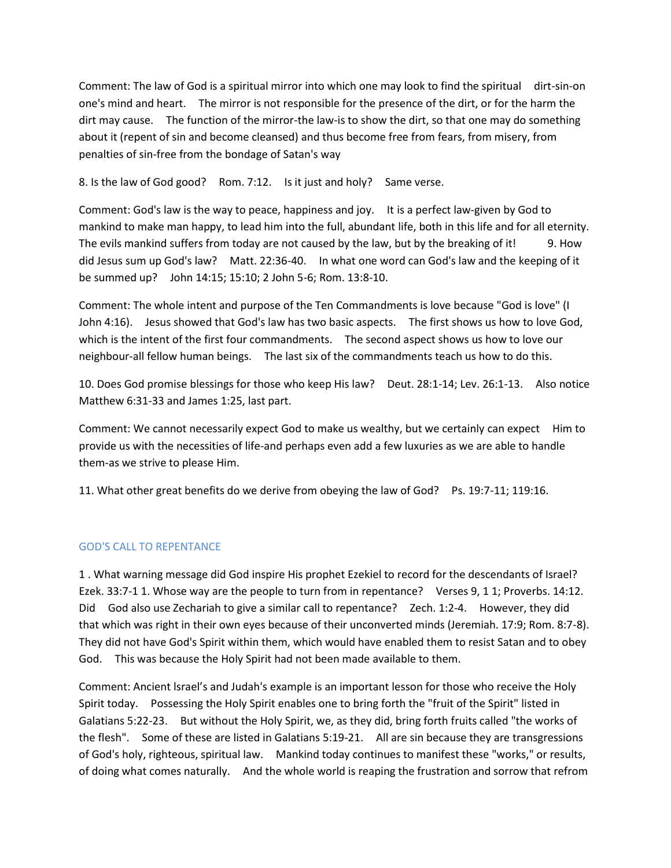Comment: The law of God is a spiritual mirror into which one may look to find the spiritual dirt-sin-on one's mind and heart. The mirror is not responsible for the presence of the dirt, or for the harm the dirt may cause. The function of the mirror-the law-is to show the dirt, so that one may do something about it (repent of sin and become cleansed) and thus become free from fears, from misery, from penalties of sin-free from the bondage of Satan's way

8. Is the law of God good? Rom. 7:12. Is it just and holy? Same verse.

Comment: God's law is the way to peace, happiness and joy. It is a perfect law-given by God to mankind to make man happy, to lead him into the full, abundant life, both in this life and for all eternity. The evils mankind suffers from today are not caused by the law, but by the breaking of it! 9. How did Jesus sum up God's law? Matt. 22:36-40. In what one word can God's law and the keeping of it be summed up? John 14:15; 15:10; 2 John 5-6; Rom. 13:8-10.

Comment: The whole intent and purpose of the Ten Commandments is love because "God is love" (I John 4:16). Jesus showed that God's law has two basic aspects. The first shows us how to love God, which is the intent of the first four commandments. The second aspect shows us how to love our neighbour-all fellow human beings. The last six of the commandments teach us how to do this.

10. Does God promise blessings for those who keep His law? Deut. 28:1-14; Lev. 26:1-13. Also notice Matthew 6:31-33 and James 1:25, last part.

Comment: We cannot necessarily expect God to make us wealthy, but we certainly can expect Him to provide us with the necessities of life-and perhaps even add a few luxuries as we are able to handle them-as we strive to please Him.

11. What other great benefits do we derive from obeying the law of God? Ps. 19:7-11; 119:16.

# GOD'S CALL TO REPENTANCE

1 . What warning message did God inspire His prophet Ezekiel to record for the descendants of Israel? Ezek. 33:7-1 1. Whose way are the people to turn from in repentance? Verses 9, 1 1; Proverbs. 14:12. Did God also use Zechariah to give a similar call to repentance? Zech. 1:2-4. However, they did that which was right in their own eyes because of their unconverted minds (Jeremiah. 17:9; Rom. 8:7-8). They did not have God's Spirit within them, which would have enabled them to resist Satan and to obey God. This was because the Holy Spirit had not been made available to them.

Comment: Ancient lsrael's and Judah's example is an important lesson for those who receive the Holy Spirit today. Possessing the Holy Spirit enables one to bring forth the "fruit of the Spirit" listed in Galatians 5:22-23. But without the Holy Spirit, we, as they did, bring forth fruits called "the works of the flesh". Some of these are listed in Galatians 5:19-21. All are sin because they are transgressions of God's holy, righteous, spiritual law. Mankind today continues to manifest these "works," or results, of doing what comes naturally. And the whole world is reaping the frustration and sorrow that refrom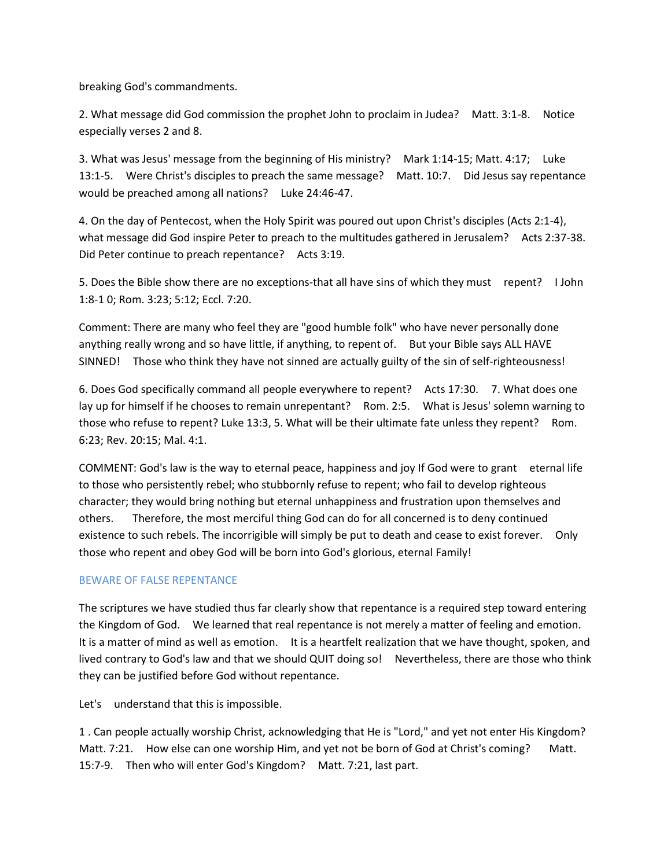breaking God's commandments.

2. What message did God commission the prophet John to proclaim in Judea? Matt. 3:1-8. Notice especially verses 2 and 8.

3. What was Jesus' message from the beginning of His ministry? Mark 1:14-15; Matt. 4:17; Luke 13:1-5. Were Christ's disciples to preach the same message? Matt. 10:7. Did Jesus say repentance would be preached among all nations? Luke 24:46-47.

4. On the day of Pentecost, when the Holy Spirit was poured out upon Christ's disciples (Acts 2:1-4), what message did God inspire Peter to preach to the multitudes gathered in Jerusalem? Acts 2:37-38. Did Peter continue to preach repentance? Acts 3:19.

5. Does the Bible show there are no exceptions-that all have sins of which they must repent? I John 1:8-1 0; Rom. 3:23; 5:12; Eccl. 7:20.

Comment: There are many who feel they are "good humble folk" who have never personally done anything really wrong and so have little, if anything, to repent of. But your Bible says ALL HAVE SINNED! Those who think they have not sinned are actually guilty of the sin of self-righteousness!

6. Does God specifically command all people everywhere to repent? Acts 17:30. 7. What does one lay up for himself if he chooses to remain unrepentant? Rom. 2:5. What is Jesus' solemn warning to those who refuse to repent? Luke 13:3, 5. What will be their ultimate fate unless they repent? Rom. 6:23; Rev. 20:15; Mal. 4:1.

COMMENT: God's law is the way to eternal peace, happiness and joy If God were to grant eternal life to those who persistently rebel; who stubbornly refuse to repent; who fail to develop righteous character; they would bring nothing but eternal unhappiness and frustration upon themselves and others. Therefore, the most merciful thing God can do for all concerned is to deny continued existence to such rebels. The incorrigible will simply be put to death and cease to exist forever. Only those who repent and obey God will be born into God's glorious, eternal Family!

# BEWARE OF FALSE REPENTANCE

The scriptures we have studied thus far clearly show that repentance is a required step toward entering the Kingdom of God. We learned that real repentance is not merely a matter of feeling and emotion. It is a matter of mind as well as emotion. It is a heartfelt realization that we have thought, spoken, and lived contrary to God's law and that we should QUIT doing so! Nevertheless, there are those who think they can be justified before God without repentance.

Let's understand that this is impossible.

1 . Can people actually worship Christ, acknowledging that He is "Lord," and yet not enter His Kingdom? Matt. 7:21. How else can one worship Him, and yet not be born of God at Christ's coming? Matt. 15:7-9. Then who will enter God's Kingdom? Matt. 7:21, last part.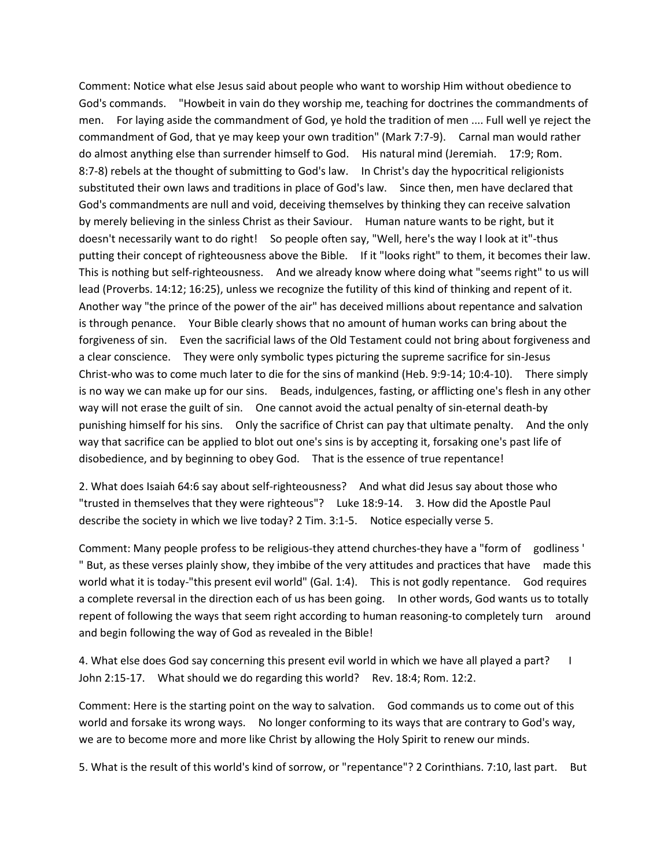Comment: Notice what else Jesus said about people who want to worship Him without obedience to God's commands. "Howbeit in vain do they worship me, teaching for doctrines the commandments of men. For laying aside the commandment of God, ye hold the tradition of men .... Full well ye reject the commandment of God, that ye may keep your own tradition" (Mark 7:7-9). Carnal man would rather do almost anything else than surrender himself to God. His natural mind (Jeremiah. 17:9; Rom. 8:7-8) rebels at the thought of submitting to God's law. In Christ's day the hypocritical religionists substituted their own laws and traditions in place of God's law. Since then, men have declared that God's commandments are null and void, deceiving themselves by thinking they can receive salvation by merely believing in the sinless Christ as their Saviour. Human nature wants to be right, but it doesn't necessarily want to do right! So people often say, "Well, here's the way I look at it"-thus putting their concept of righteousness above the Bible. If it "looks right" to them, it becomes their law. This is nothing but self-righteousness. And we already know where doing what "seems right" to us will lead (Proverbs. 14:12; 16:25), unless we recognize the futility of this kind of thinking and repent of it. Another way "the prince of the power of the air" has deceived millions about repentance and salvation is through penance. Your Bible clearly shows that no amount of human works can bring about the forgiveness of sin. Even the sacrificial laws of the Old Testament could not bring about forgiveness and a clear conscience. They were only symbolic types picturing the supreme sacrifice for sin-Jesus Christ-who was to come much later to die for the sins of mankind (Heb. 9:9-14; 10:4-10). There simply is no way we can make up for our sins. Beads, indulgences, fasting, or afflicting one's flesh in any other way will not erase the guilt of sin. One cannot avoid the actual penalty of sin-eternal death-by punishing himself for his sins. Only the sacrifice of Christ can pay that ultimate penalty. And the only way that sacrifice can be applied to blot out one's sins is by accepting it, forsaking one's past life of disobedience, and by beginning to obey God. That is the essence of true repentance!

2. What does Isaiah 64:6 say about self-righteousness? And what did Jesus say about those who "trusted in themselves that they were righteous"? Luke 18:9-14. 3. How did the Apostle Paul describe the society in which we live today? 2 Tim. 3:1-5. Notice especially verse 5.

Comment: Many people profess to be religious-they attend churches-they have a "form of godliness ' " But, as these verses plainly show, they imbibe of the very attitudes and practices that have made this world what it is today-"this present evil world" (Gal. 1:4). This is not godly repentance. God requires a complete reversal in the direction each of us has been going. In other words, God wants us to totally repent of following the ways that seem right according to human reasoning-to completely turn around and begin following the way of God as revealed in the Bible!

4. What else does God say concerning this present evil world in which we have all played a part? I John 2:15-17. What should we do regarding this world? Rev. 18:4; Rom. 12:2.

Comment: Here is the starting point on the way to salvation. God commands us to come out of this world and forsake its wrong ways. No longer conforming to its ways that are contrary to God's way, we are to become more and more like Christ by allowing the Holy Spirit to renew our minds.

5. What is the result of this world's kind of sorrow, or "repentance"? 2 Corinthians. 7:10, last part. But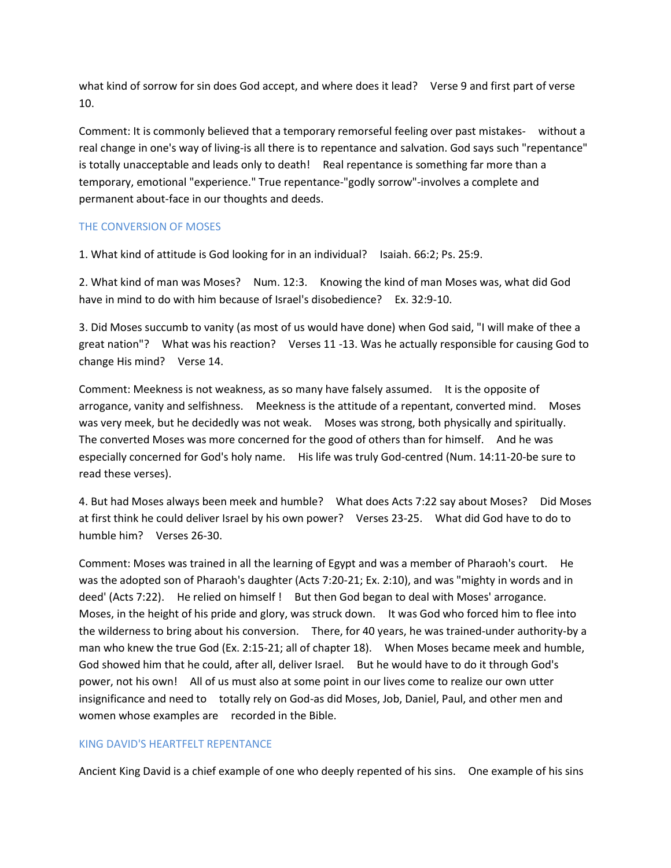what kind of sorrow for sin does God accept, and where does it lead? Verse 9 and first part of verse 10.

Comment: It is commonly believed that a temporary remorseful feeling over past mistakes- without a real change in one's way of living-is all there is to repentance and salvation. God says such "repentance" is totally unacceptable and leads only to death! Real repentance is something far more than a temporary, emotional "experience." True repentance-"godly sorrow"-involves a complete and permanent about-face in our thoughts and deeds.

# THE CONVERSION OF MOSES

1. What kind of attitude is God looking for in an individual? Isaiah. 66:2; Ps. 25:9.

2. What kind of man was Moses? Num. 12:3. Knowing the kind of man Moses was, what did God have in mind to do with him because of Israel's disobedience? Ex. 32:9-10.

3. Did Moses succumb to vanity (as most of us would have done) when God said, "I will make of thee a great nation"? What was his reaction? Verses 11 -13. Was he actually responsible for causing God to change His mind? Verse 14.

Comment: Meekness is not weakness, as so many have falsely assumed. It is the opposite of arrogance, vanity and selfishness. Meekness is the attitude of a repentant, converted mind. Moses was very meek, but he decidedly was not weak. Moses was strong, both physically and spiritually. The converted Moses was more concerned for the good of others than for himself. And he was especially concerned for God's holy name. His life was truly God-centred (Num. 14:11-20-be sure to read these verses).

4. But had Moses always been meek and humble? What does Acts 7:22 say about Moses? Did Moses at first think he could deliver Israel by his own power? Verses 23-25. What did God have to do to humble him? Verses 26-30.

Comment: Moses was trained in all the learning of Egypt and was a member of Pharaoh's court. He was the adopted son of Pharaoh's daughter (Acts 7:20-21; Ex. 2:10), and was "mighty in words and in deed' (Acts 7:22). He relied on himself ! But then God began to deal with Moses' arrogance. Moses, in the height of his pride and glory, was struck down. It was God who forced him to flee into the wilderness to bring about his conversion. There, for 40 years, he was trained-under authority-by a man who knew the true God (Ex. 2:15-21; all of chapter 18). When Moses became meek and humble, God showed him that he could, after all, deliver Israel. But he would have to do it through God's power, not his own! All of us must also at some point in our lives come to realize our own utter insignificance and need to totally rely on God-as did Moses, Job, Daniel, Paul, and other men and women whose examples are recorded in the Bible.

# KING DAVID'S HEARTFELT REPENTANCE

Ancient King David is a chief example of one who deeply repented of his sins. One example of his sins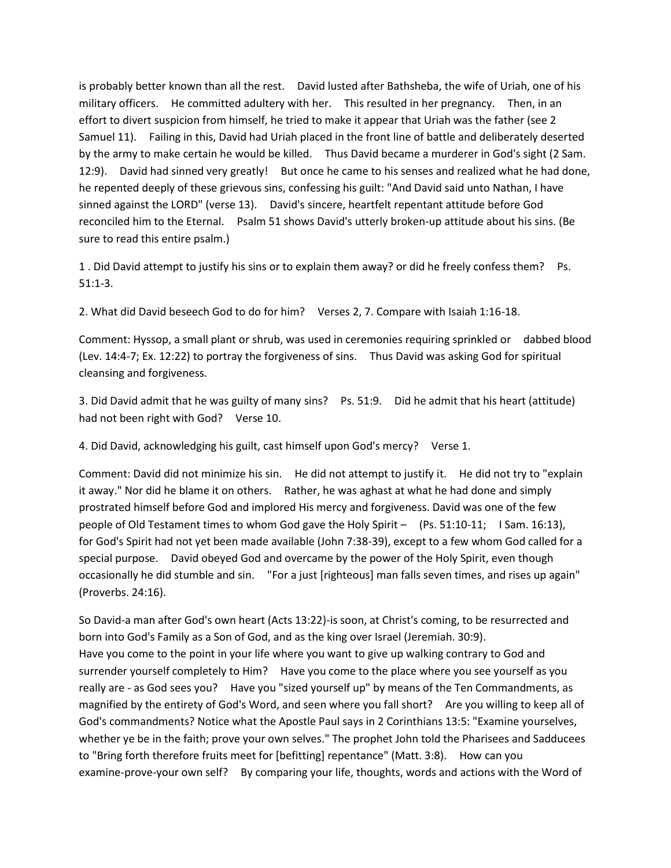is probably better known than all the rest. David lusted after Bathsheba, the wife of Uriah, one of his military officers. He committed adultery with her. This resulted in her pregnancy. Then, in an effort to divert suspicion from himself, he tried to make it appear that Uriah was the father (see 2 Samuel 11). Failing in this, David had Uriah placed in the front line of battle and deliberately deserted by the army to make certain he would be killed. Thus David became a murderer in God's sight (2 Sam. 12:9). David had sinned very greatly! But once he came to his senses and realized what he had done, he repented deeply of these grievous sins, confessing his guilt: "And David said unto Nathan, I have sinned against the LORD" (verse 13). David's sincere, heartfelt repentant attitude before God reconciled him to the Eternal. Psalm 51 shows David's utterly broken-up attitude about his sins. (Be sure to read this entire psalm.)

1 . Did David attempt to justify his sins or to explain them away? or did he freely confess them? Ps. 51:1-3.

2. What did David beseech God to do for him? Verses 2, 7. Compare with Isaiah 1:16-18.

Comment: Hyssop, a small plant or shrub, was used in ceremonies requiring sprinkled or dabbed blood (Lev. 14:4-7; Ex. 12:22) to portray the forgiveness of sins. Thus David was asking God for spiritual cleansing and forgiveness.

3. Did David admit that he was guilty of many sins? Ps. 51:9. Did he admit that his heart (attitude) had not been right with God? Verse 10.

4. Did David, acknowledging his guilt, cast himself upon God's mercy? Verse 1.

Comment: David did not minimize his sin. He did not attempt to justify it. He did not try to "explain it away." Nor did he blame it on others. Rather, he was aghast at what he had done and simply prostrated himself before God and implored His mercy and forgiveness. David was one of the few people of Old Testament times to whom God gave the Holy Spirit – (Ps. 51:10-11; I Sam. 16:13), for God's Spirit had not yet been made available (John 7:38-39), except to a few whom God called for a special purpose. David obeyed God and overcame by the power of the Holy Spirit, even though occasionally he did stumble and sin. "For a just [righteous] man falls seven times, and rises up again" (Proverbs. 24:16).

So David-a man after God's own heart (Acts 13:22)-is soon, at Christ's coming, to be resurrected and born into God's Family as a Son of God, and as the king over Israel (Jeremiah. 30:9). Have you come to the point in your life where you want to give up walking contrary to God and surrender yourself completely to Him? Have you come to the place where you see yourself as you really are - as God sees you? Have you "sized yourself up" by means of the Ten Commandments, as magnified by the entirety of God's Word, and seen where you fall short? Are you willing to keep all of God's commandments? Notice what the Apostle Paul says in 2 Corinthians 13:5: "Examine yourselves, whether ye be in the faith; prove your own selves." The prophet John told the Pharisees and Sadducees to "Bring forth therefore fruits meet for [befitting] repentance" (Matt. 3:8). How can you examine-prove-your own self? By comparing your life, thoughts, words and actions with the Word of